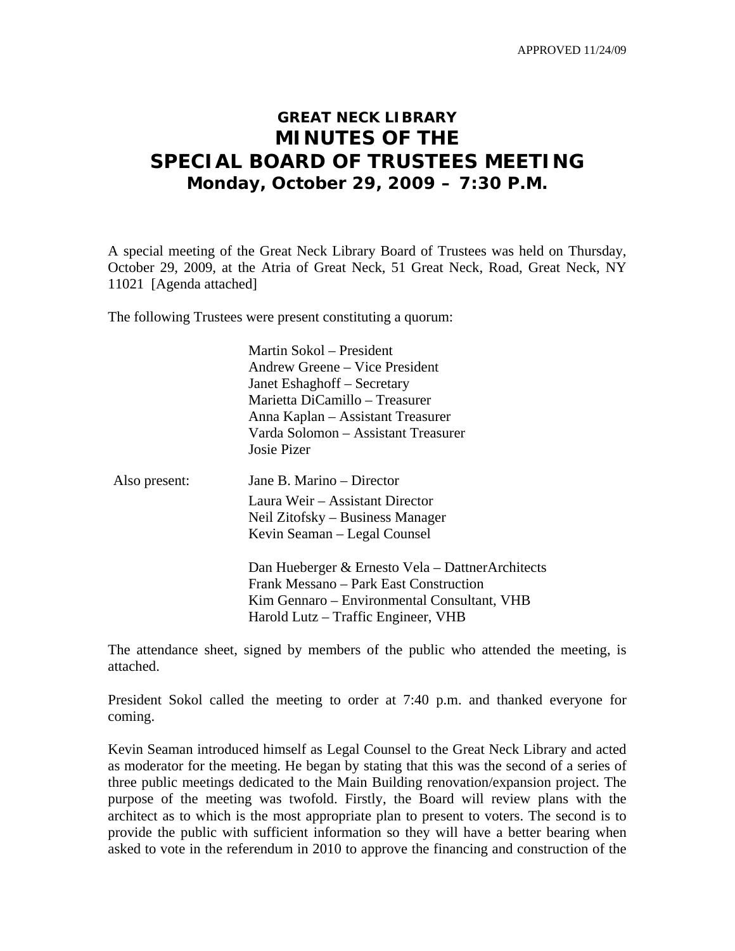APPROVED 11/24/09

# **GREAT NECK LIBRARY MINUTES OF THE SPECIAL BOARD OF TRUSTEES MEETING Monday, October 29, 2009 – 7:30 P.M.**

A special meeting of the Great Neck Library Board of Trustees was held on Thursday, October 29, 2009, at the Atria of Great Neck, 51 Great Neck, Road, Great Neck, NY 11021 [Agenda attached]

The following Trustees were present constituting a quorum:

|               | Martin Sokol – President<br>Andrew Greene – Vice President<br>Janet Eshaghoff – Secretary<br>Marietta DiCamillo – Treasurer<br>Anna Kaplan – Assistant Treasurer<br>Varda Solomon – Assistant Treasurer<br>Josie Pizer |
|---------------|------------------------------------------------------------------------------------------------------------------------------------------------------------------------------------------------------------------------|
| Also present: | Jane B. Marino – Director<br>Laura Weir – Assistant Director<br>Neil Zitofsky – Business Manager<br>Kevin Seaman – Legal Counsel                                                                                       |
|               | Dan Hueberger & Ernesto Vela - DattnerArchitects<br>Frank Messano – Park East Construction<br>Kim Gennaro – Environmental Consultant, VHB<br>Harold Lutz – Traffic Engineer, VHB                                       |

The attendance sheet, signed by members of the public who attended the meeting, is attached.

President Sokol called the meeting to order at 7:40 p.m. and thanked everyone for coming.

Kevin Seaman introduced himself as Legal Counsel to the Great Neck Library and acted as moderator for the meeting. He began by stating that this was the second of a series of three public meetings dedicated to the Main Building renovation/expansion project. The purpose of the meeting was twofold. Firstly, the Board will review plans with the architect as to which is the most appropriate plan to present to voters. The second is to provide the public with sufficient information so they will have a better bearing when asked to vote in the referendum in 2010 to approve the financing and construction of the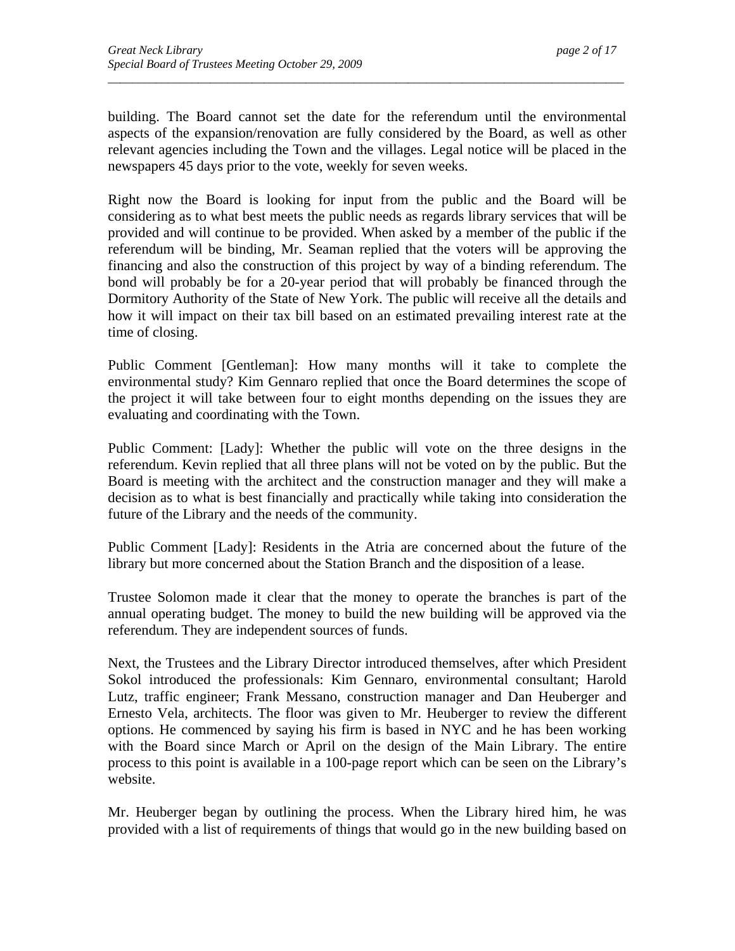building. The Board cannot set the date for the referendum until the environmental aspects of the expansion/renovation are fully considered by the Board, as well as other relevant agencies including the Town and the villages. Legal notice will be placed in the newspapers 45 days prior to the vote, weekly for seven weeks.

*\_\_\_\_\_\_\_\_\_\_\_\_\_\_\_\_\_\_\_\_\_\_\_\_\_\_\_\_\_\_\_\_\_\_\_\_\_\_\_\_\_\_\_\_\_\_\_\_\_\_\_\_\_\_\_\_\_\_\_\_\_\_\_\_\_\_\_\_\_\_\_\_\_\_\_\_\_\_\_\_\_\_\_\_\_\_* 

Right now the Board is looking for input from the public and the Board will be considering as to what best meets the public needs as regards library services that will be provided and will continue to be provided. When asked by a member of the public if the referendum will be binding, Mr. Seaman replied that the voters will be approving the financing and also the construction of this project by way of a binding referendum. The bond will probably be for a 20-year period that will probably be financed through the Dormitory Authority of the State of New York. The public will receive all the details and how it will impact on their tax bill based on an estimated prevailing interest rate at the time of closing.

Public Comment [Gentleman]: How many months will it take to complete the environmental study? Kim Gennaro replied that once the Board determines the scope of the project it will take between four to eight months depending on the issues they are evaluating and coordinating with the Town.

Public Comment: [Lady]: Whether the public will vote on the three designs in the referendum. Kevin replied that all three plans will not be voted on by the public. But the Board is meeting with the architect and the construction manager and they will make a decision as to what is best financially and practically while taking into consideration the future of the Library and the needs of the community.

Public Comment [Lady]: Residents in the Atria are concerned about the future of the library but more concerned about the Station Branch and the disposition of a lease.

Trustee Solomon made it clear that the money to operate the branches is part of the annual operating budget. The money to build the new building will be approved via the referendum. They are independent sources of funds.

Next, the Trustees and the Library Director introduced themselves, after which President Sokol introduced the professionals: Kim Gennaro, environmental consultant; Harold Lutz, traffic engineer; Frank Messano, construction manager and Dan Heuberger and Ernesto Vela, architects. The floor was given to Mr. Heuberger to review the different options. He commenced by saying his firm is based in NYC and he has been working with the Board since March or April on the design of the Main Library. The entire process to this point is available in a 100-page report which can be seen on the Library's website.

Mr. Heuberger began by outlining the process. When the Library hired him, he was provided with a list of requirements of things that would go in the new building based on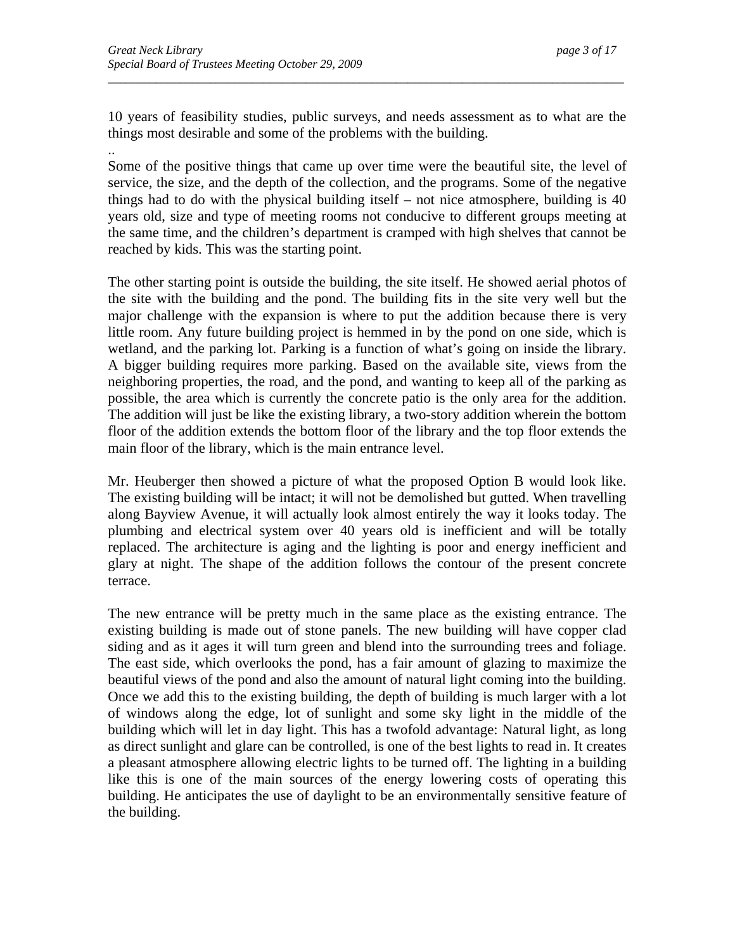10 years of feasibility studies, public surveys, and needs assessment as to what are the things most desirable and some of the problems with the building.

*\_\_\_\_\_\_\_\_\_\_\_\_\_\_\_\_\_\_\_\_\_\_\_\_\_\_\_\_\_\_\_\_\_\_\_\_\_\_\_\_\_\_\_\_\_\_\_\_\_\_\_\_\_\_\_\_\_\_\_\_\_\_\_\_\_\_\_\_\_\_\_\_\_\_\_\_\_\_\_\_\_\_\_\_\_\_* 

.. Some of the positive things that came up over time were the beautiful site, the level of service, the size, and the depth of the collection, and the programs. Some of the negative things had to do with the physical building itself – not nice atmosphere, building is 40 years old, size and type of meeting rooms not conducive to different groups meeting at the same time, and the children's department is cramped with high shelves that cannot be reached by kids. This was the starting point.

The other starting point is outside the building, the site itself. He showed aerial photos of the site with the building and the pond. The building fits in the site very well but the major challenge with the expansion is where to put the addition because there is very little room. Any future building project is hemmed in by the pond on one side, which is wetland, and the parking lot. Parking is a function of what's going on inside the library. A bigger building requires more parking. Based on the available site, views from the neighboring properties, the road, and the pond, and wanting to keep all of the parking as possible, the area which is currently the concrete patio is the only area for the addition. The addition will just be like the existing library, a two-story addition wherein the bottom floor of the addition extends the bottom floor of the library and the top floor extends the main floor of the library, which is the main entrance level.

Mr. Heuberger then showed a picture of what the proposed Option B would look like. The existing building will be intact; it will not be demolished but gutted. When travelling along Bayview Avenue, it will actually look almost entirely the way it looks today. The plumbing and electrical system over 40 years old is inefficient and will be totally replaced. The architecture is aging and the lighting is poor and energy inefficient and glary at night. The shape of the addition follows the contour of the present concrete terrace.

The new entrance will be pretty much in the same place as the existing entrance. The existing building is made out of stone panels. The new building will have copper clad siding and as it ages it will turn green and blend into the surrounding trees and foliage. The east side, which overlooks the pond, has a fair amount of glazing to maximize the beautiful views of the pond and also the amount of natural light coming into the building. Once we add this to the existing building, the depth of building is much larger with a lot of windows along the edge, lot of sunlight and some sky light in the middle of the building which will let in day light. This has a twofold advantage: Natural light, as long as direct sunlight and glare can be controlled, is one of the best lights to read in. It creates a pleasant atmosphere allowing electric lights to be turned off. The lighting in a building like this is one of the main sources of the energy lowering costs of operating this building. He anticipates the use of daylight to be an environmentally sensitive feature of the building.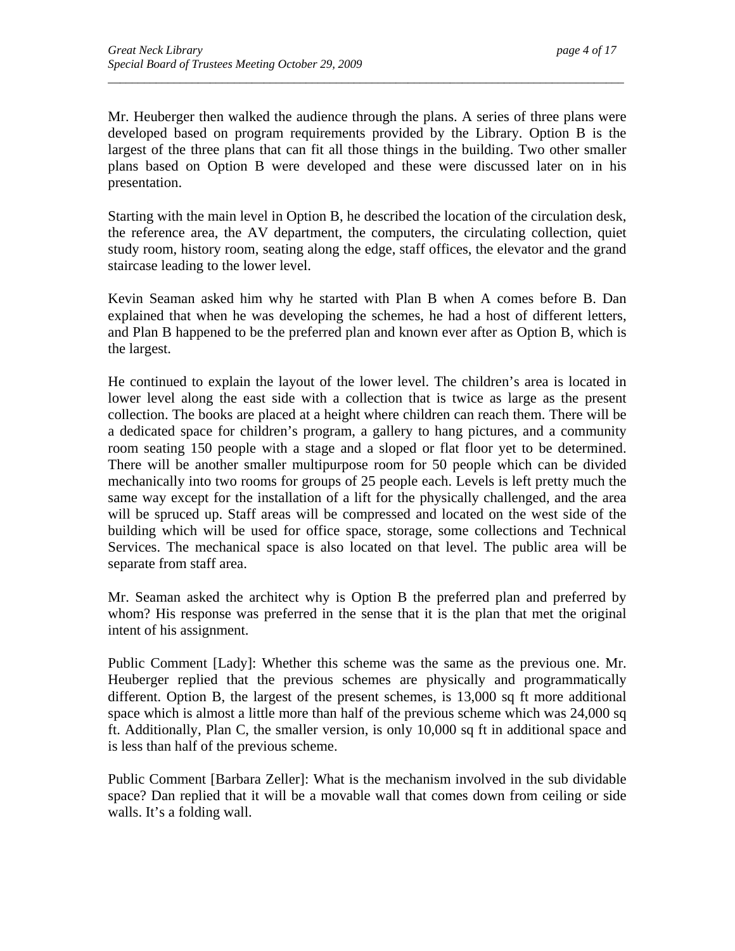Mr. Heuberger then walked the audience through the plans. A series of three plans were developed based on program requirements provided by the Library. Option B is the largest of the three plans that can fit all those things in the building. Two other smaller plans based on Option B were developed and these were discussed later on in his presentation.

*\_\_\_\_\_\_\_\_\_\_\_\_\_\_\_\_\_\_\_\_\_\_\_\_\_\_\_\_\_\_\_\_\_\_\_\_\_\_\_\_\_\_\_\_\_\_\_\_\_\_\_\_\_\_\_\_\_\_\_\_\_\_\_\_\_\_\_\_\_\_\_\_\_\_\_\_\_\_\_\_\_\_\_\_\_\_* 

Starting with the main level in Option B, he described the location of the circulation desk, the reference area, the AV department, the computers, the circulating collection, quiet study room, history room, seating along the edge, staff offices, the elevator and the grand staircase leading to the lower level.

Kevin Seaman asked him why he started with Plan B when A comes before B. Dan explained that when he was developing the schemes, he had a host of different letters, and Plan B happened to be the preferred plan and known ever after as Option B, which is the largest.

He continued to explain the layout of the lower level. The children's area is located in lower level along the east side with a collection that is twice as large as the present collection. The books are placed at a height where children can reach them. There will be a dedicated space for children's program, a gallery to hang pictures, and a community room seating 150 people with a stage and a sloped or flat floor yet to be determined. There will be another smaller multipurpose room for 50 people which can be divided mechanically into two rooms for groups of 25 people each. Levels is left pretty much the same way except for the installation of a lift for the physically challenged, and the area will be spruced up. Staff areas will be compressed and located on the west side of the building which will be used for office space, storage, some collections and Technical Services. The mechanical space is also located on that level. The public area will be separate from staff area.

Mr. Seaman asked the architect why is Option B the preferred plan and preferred by whom? His response was preferred in the sense that it is the plan that met the original intent of his assignment.

Public Comment [Lady]: Whether this scheme was the same as the previous one. Mr. Heuberger replied that the previous schemes are physically and programmatically different. Option B, the largest of the present schemes, is 13,000 sq ft more additional space which is almost a little more than half of the previous scheme which was 24,000 sq ft. Additionally, Plan C, the smaller version, is only 10,000 sq ft in additional space and is less than half of the previous scheme.

Public Comment [Barbara Zeller]: What is the mechanism involved in the sub dividable space? Dan replied that it will be a movable wall that comes down from ceiling or side walls. It's a folding wall.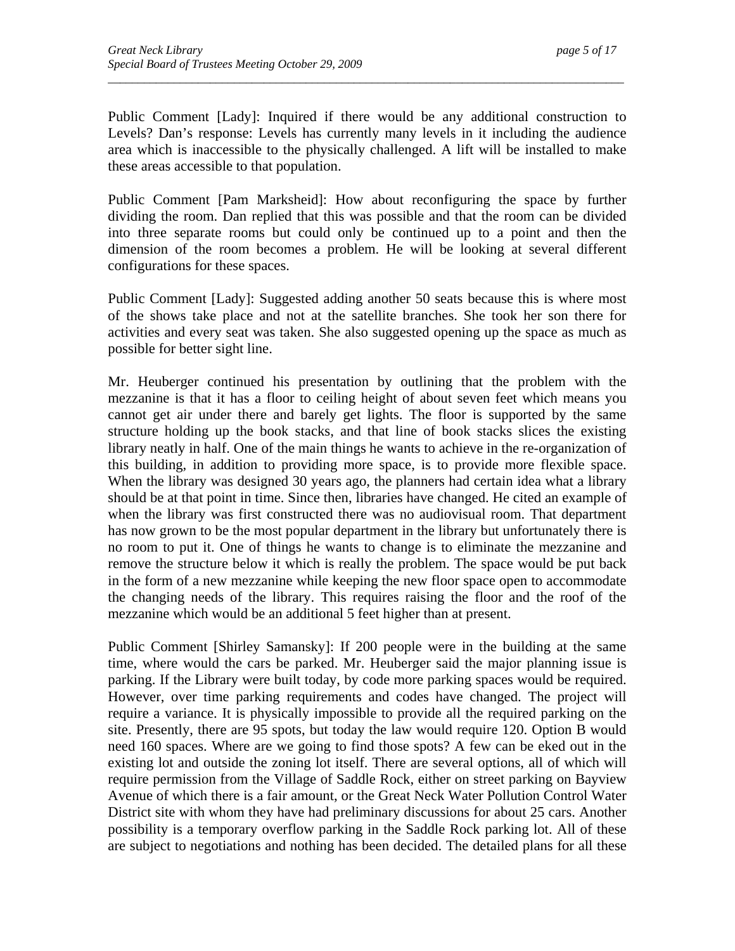Public Comment [Lady]: Inquired if there would be any additional construction to Levels? Dan's response: Levels has currently many levels in it including the audience area which is inaccessible to the physically challenged. A lift will be installed to make these areas accessible to that population.

*\_\_\_\_\_\_\_\_\_\_\_\_\_\_\_\_\_\_\_\_\_\_\_\_\_\_\_\_\_\_\_\_\_\_\_\_\_\_\_\_\_\_\_\_\_\_\_\_\_\_\_\_\_\_\_\_\_\_\_\_\_\_\_\_\_\_\_\_\_\_\_\_\_\_\_\_\_\_\_\_\_\_\_\_\_\_* 

Public Comment [Pam Marksheid]: How about reconfiguring the space by further dividing the room. Dan replied that this was possible and that the room can be divided into three separate rooms but could only be continued up to a point and then the dimension of the room becomes a problem. He will be looking at several different configurations for these spaces.

Public Comment [Lady]: Suggested adding another 50 seats because this is where most of the shows take place and not at the satellite branches. She took her son there for activities and every seat was taken. She also suggested opening up the space as much as possible for better sight line.

Mr. Heuberger continued his presentation by outlining that the problem with the mezzanine is that it has a floor to ceiling height of about seven feet which means you cannot get air under there and barely get lights. The floor is supported by the same structure holding up the book stacks, and that line of book stacks slices the existing library neatly in half. One of the main things he wants to achieve in the re-organization of this building, in addition to providing more space, is to provide more flexible space. When the library was designed 30 years ago, the planners had certain idea what a library should be at that point in time. Since then, libraries have changed. He cited an example of when the library was first constructed there was no audiovisual room. That department has now grown to be the most popular department in the library but unfortunately there is no room to put it. One of things he wants to change is to eliminate the mezzanine and remove the structure below it which is really the problem. The space would be put back in the form of a new mezzanine while keeping the new floor space open to accommodate the changing needs of the library. This requires raising the floor and the roof of the mezzanine which would be an additional 5 feet higher than at present.

Public Comment [Shirley Samansky]: If 200 people were in the building at the same time, where would the cars be parked. Mr. Heuberger said the major planning issue is parking. If the Library were built today, by code more parking spaces would be required. However, over time parking requirements and codes have changed. The project will require a variance. It is physically impossible to provide all the required parking on the site. Presently, there are 95 spots, but today the law would require 120. Option B would need 160 spaces. Where are we going to find those spots? A few can be eked out in the existing lot and outside the zoning lot itself. There are several options, all of which will require permission from the Village of Saddle Rock, either on street parking on Bayview Avenue of which there is a fair amount, or the Great Neck Water Pollution Control Water District site with whom they have had preliminary discussions for about 25 cars. Another possibility is a temporary overflow parking in the Saddle Rock parking lot. All of these are subject to negotiations and nothing has been decided. The detailed plans for all these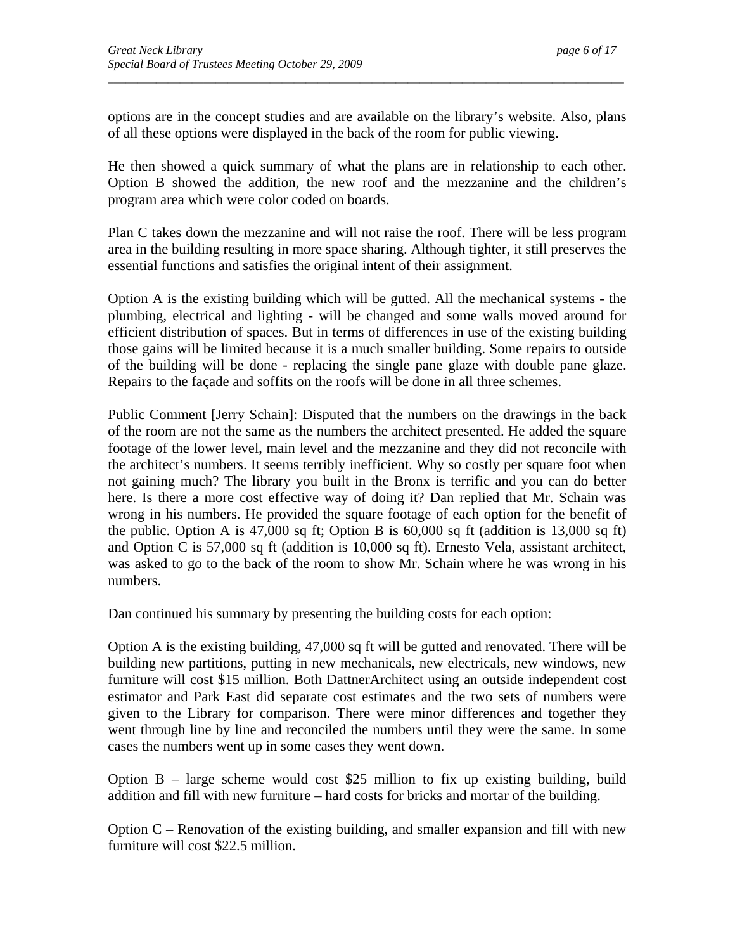options are in the concept studies and are available on the library's website. Also, plans of all these options were displayed in the back of the room for public viewing.

*\_\_\_\_\_\_\_\_\_\_\_\_\_\_\_\_\_\_\_\_\_\_\_\_\_\_\_\_\_\_\_\_\_\_\_\_\_\_\_\_\_\_\_\_\_\_\_\_\_\_\_\_\_\_\_\_\_\_\_\_\_\_\_\_\_\_\_\_\_\_\_\_\_\_\_\_\_\_\_\_\_\_\_\_\_\_* 

He then showed a quick summary of what the plans are in relationship to each other. Option B showed the addition, the new roof and the mezzanine and the children's program area which were color coded on boards.

Plan C takes down the mezzanine and will not raise the roof. There will be less program area in the building resulting in more space sharing. Although tighter, it still preserves the essential functions and satisfies the original intent of their assignment.

Option A is the existing building which will be gutted. All the mechanical systems - the plumbing, electrical and lighting - will be changed and some walls moved around for efficient distribution of spaces. But in terms of differences in use of the existing building those gains will be limited because it is a much smaller building. Some repairs to outside of the building will be done - replacing the single pane glaze with double pane glaze. Repairs to the façade and soffits on the roofs will be done in all three schemes.

Public Comment [Jerry Schain]: Disputed that the numbers on the drawings in the back of the room are not the same as the numbers the architect presented. He added the square footage of the lower level, main level and the mezzanine and they did not reconcile with the architect's numbers. It seems terribly inefficient. Why so costly per square foot when not gaining much? The library you built in the Bronx is terrific and you can do better here. Is there a more cost effective way of doing it? Dan replied that Mr. Schain was wrong in his numbers. He provided the square footage of each option for the benefit of the public. Option A is 47,000 sq ft; Option B is 60,000 sq ft (addition is 13,000 sq ft) and Option C is 57,000 sq ft (addition is 10,000 sq ft). Ernesto Vela, assistant architect, was asked to go to the back of the room to show Mr. Schain where he was wrong in his numbers.

Dan continued his summary by presenting the building costs for each option:

Option A is the existing building, 47,000 sq ft will be gutted and renovated. There will be building new partitions, putting in new mechanicals, new electricals, new windows, new furniture will cost \$15 million. Both DattnerArchitect using an outside independent cost estimator and Park East did separate cost estimates and the two sets of numbers were given to the Library for comparison. There were minor differences and together they went through line by line and reconciled the numbers until they were the same. In some cases the numbers went up in some cases they went down.

Option  $B$  – large scheme would cost \$25 million to fix up existing building, build addition and fill with new furniture – hard costs for bricks and mortar of the building.

Option C – Renovation of the existing building, and smaller expansion and fill with new furniture will cost \$22.5 million.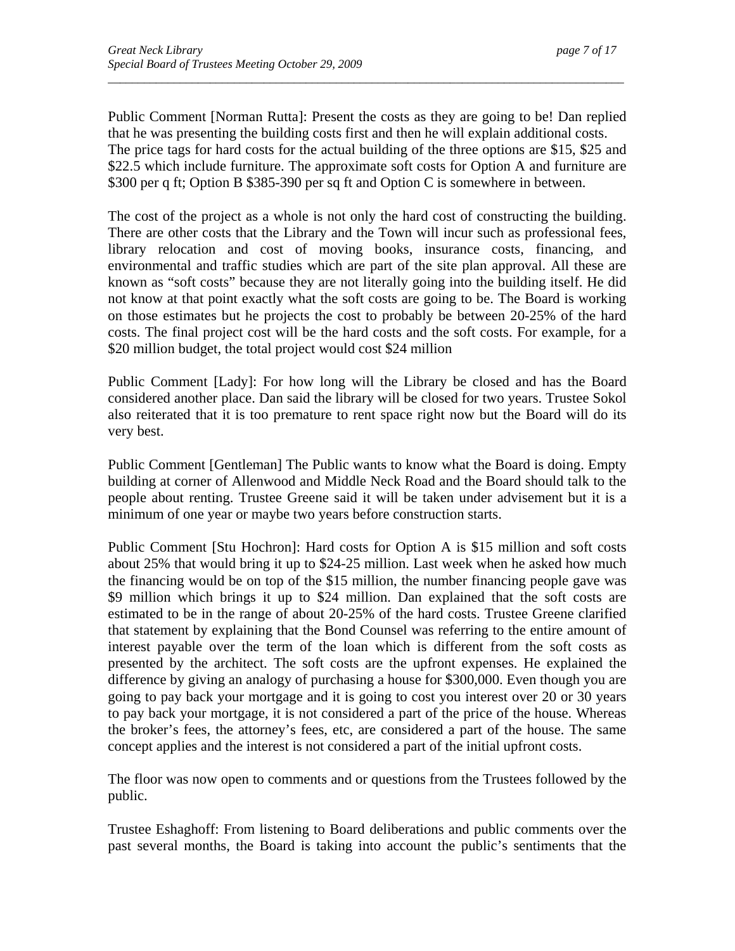Public Comment [Norman Rutta]: Present the costs as they are going to be! Dan replied that he was presenting the building costs first and then he will explain additional costs. The price tags for hard costs for the actual building of the three options are \$15, \$25 and \$22.5 which include furniture. The approximate soft costs for Option A and furniture are \$300 per q ft; Option B \$385-390 per sq ft and Option C is somewhere in between.

*\_\_\_\_\_\_\_\_\_\_\_\_\_\_\_\_\_\_\_\_\_\_\_\_\_\_\_\_\_\_\_\_\_\_\_\_\_\_\_\_\_\_\_\_\_\_\_\_\_\_\_\_\_\_\_\_\_\_\_\_\_\_\_\_\_\_\_\_\_\_\_\_\_\_\_\_\_\_\_\_\_\_\_\_\_\_* 

The cost of the project as a whole is not only the hard cost of constructing the building. There are other costs that the Library and the Town will incur such as professional fees, library relocation and cost of moving books, insurance costs, financing, and environmental and traffic studies which are part of the site plan approval. All these are known as "soft costs" because they are not literally going into the building itself. He did not know at that point exactly what the soft costs are going to be. The Board is working on those estimates but he projects the cost to probably be between 20-25% of the hard costs. The final project cost will be the hard costs and the soft costs. For example, for a \$20 million budget, the total project would cost \$24 million

Public Comment [Lady]: For how long will the Library be closed and has the Board considered another place. Dan said the library will be closed for two years. Trustee Sokol also reiterated that it is too premature to rent space right now but the Board will do its very best.

Public Comment [Gentleman] The Public wants to know what the Board is doing. Empty building at corner of Allenwood and Middle Neck Road and the Board should talk to the people about renting. Trustee Greene said it will be taken under advisement but it is a minimum of one year or maybe two years before construction starts.

Public Comment [Stu Hochron]: Hard costs for Option A is \$15 million and soft costs about 25% that would bring it up to \$24-25 million. Last week when he asked how much the financing would be on top of the \$15 million, the number financing people gave was \$9 million which brings it up to \$24 million. Dan explained that the soft costs are estimated to be in the range of about 20-25% of the hard costs. Trustee Greene clarified that statement by explaining that the Bond Counsel was referring to the entire amount of interest payable over the term of the loan which is different from the soft costs as presented by the architect. The soft costs are the upfront expenses. He explained the difference by giving an analogy of purchasing a house for \$300,000. Even though you are going to pay back your mortgage and it is going to cost you interest over 20 or 30 years to pay back your mortgage, it is not considered a part of the price of the house. Whereas the broker's fees, the attorney's fees, etc, are considered a part of the house. The same concept applies and the interest is not considered a part of the initial upfront costs.

The floor was now open to comments and or questions from the Trustees followed by the public.

Trustee Eshaghoff: From listening to Board deliberations and public comments over the past several months, the Board is taking into account the public's sentiments that the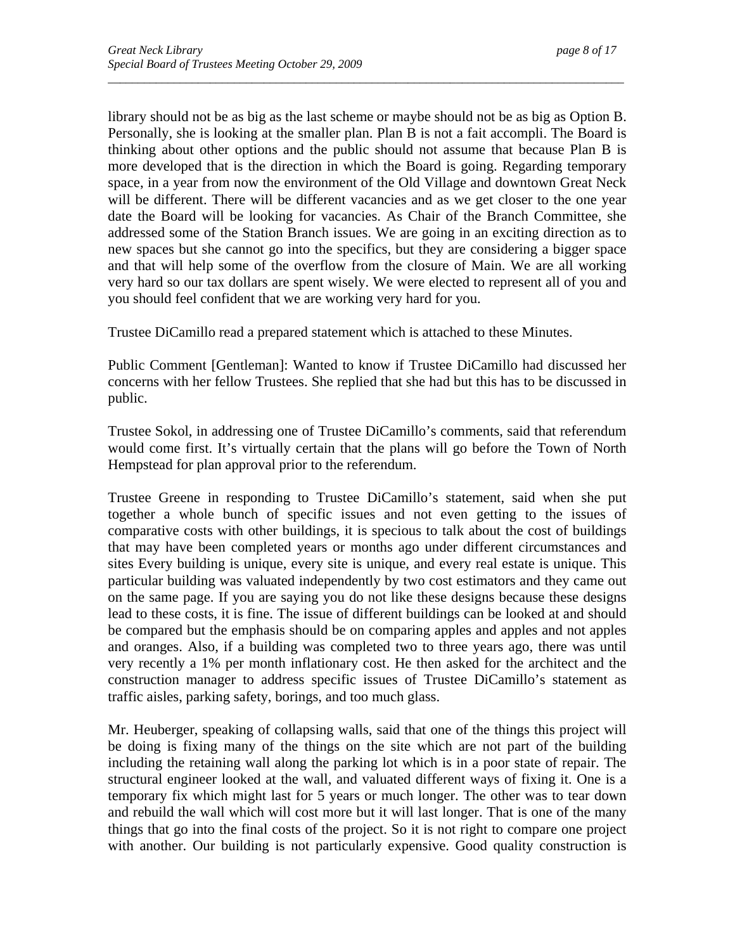library should not be as big as the last scheme or maybe should not be as big as Option B. Personally, she is looking at the smaller plan. Plan B is not a fait accompli. The Board is thinking about other options and the public should not assume that because Plan B is more developed that is the direction in which the Board is going. Regarding temporary space, in a year from now the environment of the Old Village and downtown Great Neck will be different. There will be different vacancies and as we get closer to the one year date the Board will be looking for vacancies. As Chair of the Branch Committee, she addressed some of the Station Branch issues. We are going in an exciting direction as to new spaces but she cannot go into the specifics, but they are considering a bigger space and that will help some of the overflow from the closure of Main. We are all working very hard so our tax dollars are spent wisely. We were elected to represent all of you and you should feel confident that we are working very hard for you.

*\_\_\_\_\_\_\_\_\_\_\_\_\_\_\_\_\_\_\_\_\_\_\_\_\_\_\_\_\_\_\_\_\_\_\_\_\_\_\_\_\_\_\_\_\_\_\_\_\_\_\_\_\_\_\_\_\_\_\_\_\_\_\_\_\_\_\_\_\_\_\_\_\_\_\_\_\_\_\_\_\_\_\_\_\_\_* 

Trustee DiCamillo read a prepared statement which is attached to these Minutes.

Public Comment [Gentleman]: Wanted to know if Trustee DiCamillo had discussed her concerns with her fellow Trustees. She replied that she had but this has to be discussed in public.

Trustee Sokol, in addressing one of Trustee DiCamillo's comments, said that referendum would come first. It's virtually certain that the plans will go before the Town of North Hempstead for plan approval prior to the referendum.

Trustee Greene in responding to Trustee DiCamillo's statement, said when she put together a whole bunch of specific issues and not even getting to the issues of comparative costs with other buildings, it is specious to talk about the cost of buildings that may have been completed years or months ago under different circumstances and sites Every building is unique, every site is unique, and every real estate is unique. This particular building was valuated independently by two cost estimators and they came out on the same page. If you are saying you do not like these designs because these designs lead to these costs, it is fine. The issue of different buildings can be looked at and should be compared but the emphasis should be on comparing apples and apples and not apples and oranges. Also, if a building was completed two to three years ago, there was until very recently a 1% per month inflationary cost. He then asked for the architect and the construction manager to address specific issues of Trustee DiCamillo's statement as traffic aisles, parking safety, borings, and too much glass.

Mr. Heuberger, speaking of collapsing walls, said that one of the things this project will be doing is fixing many of the things on the site which are not part of the building including the retaining wall along the parking lot which is in a poor state of repair. The structural engineer looked at the wall, and valuated different ways of fixing it. One is a temporary fix which might last for 5 years or much longer. The other was to tear down and rebuild the wall which will cost more but it will last longer. That is one of the many things that go into the final costs of the project. So it is not right to compare one project with another. Our building is not particularly expensive. Good quality construction is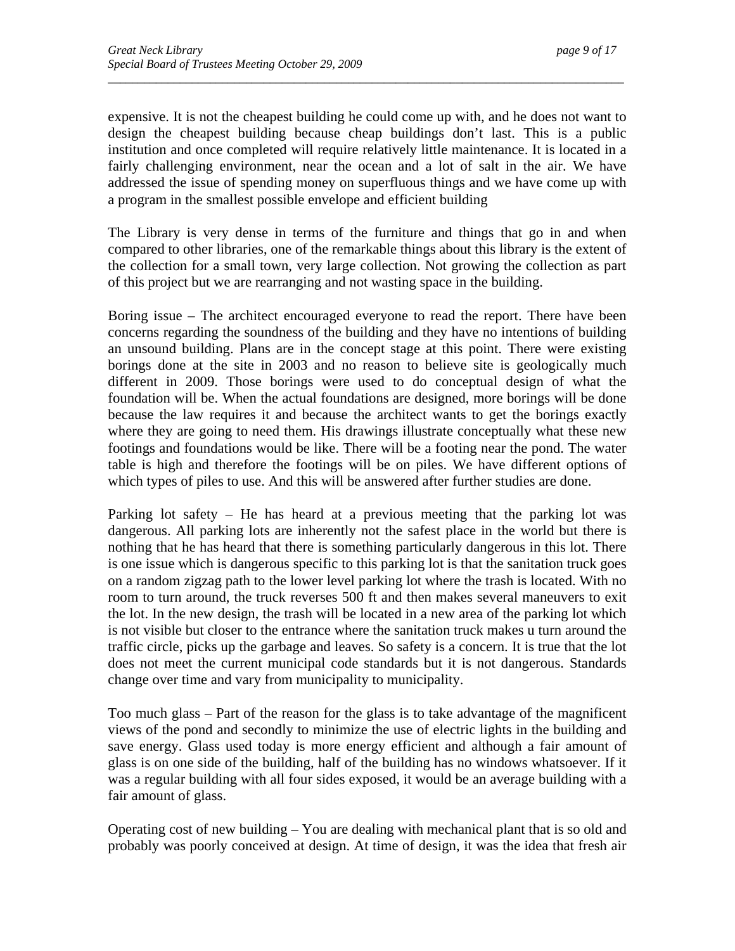expensive. It is not the cheapest building he could come up with, and he does not want to design the cheapest building because cheap buildings don't last. This is a public institution and once completed will require relatively little maintenance. It is located in a fairly challenging environment, near the ocean and a lot of salt in the air. We have addressed the issue of spending money on superfluous things and we have come up with a program in the smallest possible envelope and efficient building

*\_\_\_\_\_\_\_\_\_\_\_\_\_\_\_\_\_\_\_\_\_\_\_\_\_\_\_\_\_\_\_\_\_\_\_\_\_\_\_\_\_\_\_\_\_\_\_\_\_\_\_\_\_\_\_\_\_\_\_\_\_\_\_\_\_\_\_\_\_\_\_\_\_\_\_\_\_\_\_\_\_\_\_\_\_\_* 

The Library is very dense in terms of the furniture and things that go in and when compared to other libraries, one of the remarkable things about this library is the extent of the collection for a small town, very large collection. Not growing the collection as part of this project but we are rearranging and not wasting space in the building.

Boring issue – The architect encouraged everyone to read the report. There have been concerns regarding the soundness of the building and they have no intentions of building an unsound building. Plans are in the concept stage at this point. There were existing borings done at the site in 2003 and no reason to believe site is geologically much different in 2009. Those borings were used to do conceptual design of what the foundation will be. When the actual foundations are designed, more borings will be done because the law requires it and because the architect wants to get the borings exactly where they are going to need them. His drawings illustrate conceptually what these new footings and foundations would be like. There will be a footing near the pond. The water table is high and therefore the footings will be on piles. We have different options of which types of piles to use. And this will be answered after further studies are done.

Parking lot safety – He has heard at a previous meeting that the parking lot was dangerous. All parking lots are inherently not the safest place in the world but there is nothing that he has heard that there is something particularly dangerous in this lot. There is one issue which is dangerous specific to this parking lot is that the sanitation truck goes on a random zigzag path to the lower level parking lot where the trash is located. With no room to turn around, the truck reverses 500 ft and then makes several maneuvers to exit the lot. In the new design, the trash will be located in a new area of the parking lot which is not visible but closer to the entrance where the sanitation truck makes u turn around the traffic circle, picks up the garbage and leaves. So safety is a concern. It is true that the lot does not meet the current municipal code standards but it is not dangerous. Standards change over time and vary from municipality to municipality.

Too much glass – Part of the reason for the glass is to take advantage of the magnificent views of the pond and secondly to minimize the use of electric lights in the building and save energy. Glass used today is more energy efficient and although a fair amount of glass is on one side of the building, half of the building has no windows whatsoever. If it was a regular building with all four sides exposed, it would be an average building with a fair amount of glass.

Operating cost of new building – You are dealing with mechanical plant that is so old and probably was poorly conceived at design. At time of design, it was the idea that fresh air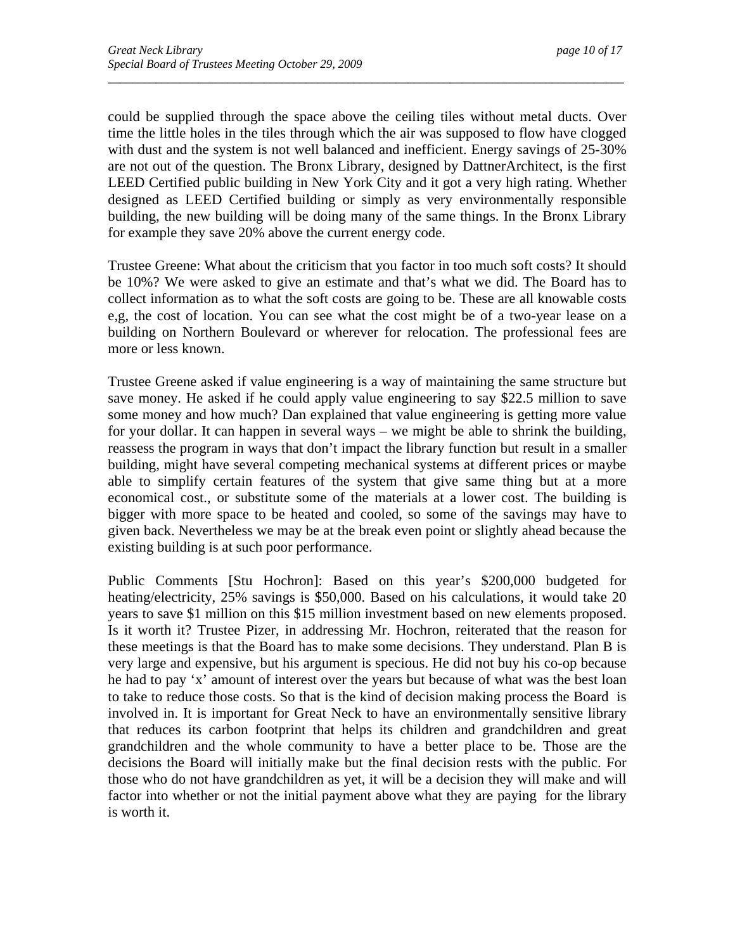could be supplied through the space above the ceiling tiles without metal ducts. Over time the little holes in the tiles through which the air was supposed to flow have clogged with dust and the system is not well balanced and inefficient. Energy savings of 25-30% are not out of the question. The Bronx Library, designed by DattnerArchitect, is the first LEED Certified public building in New York City and it got a very high rating. Whether designed as LEED Certified building or simply as very environmentally responsible building, the new building will be doing many of the same things. In the Bronx Library for example they save 20% above the current energy code.

*\_\_\_\_\_\_\_\_\_\_\_\_\_\_\_\_\_\_\_\_\_\_\_\_\_\_\_\_\_\_\_\_\_\_\_\_\_\_\_\_\_\_\_\_\_\_\_\_\_\_\_\_\_\_\_\_\_\_\_\_\_\_\_\_\_\_\_\_\_\_\_\_\_\_\_\_\_\_\_\_\_\_\_\_\_\_* 

Trustee Greene: What about the criticism that you factor in too much soft costs? It should be 10%? We were asked to give an estimate and that's what we did. The Board has to collect information as to what the soft costs are going to be. These are all knowable costs e,g, the cost of location. You can see what the cost might be of a two-year lease on a building on Northern Boulevard or wherever for relocation. The professional fees are more or less known.

Trustee Greene asked if value engineering is a way of maintaining the same structure but save money. He asked if he could apply value engineering to say \$22.5 million to save some money and how much? Dan explained that value engineering is getting more value for your dollar. It can happen in several ways – we might be able to shrink the building, reassess the program in ways that don't impact the library function but result in a smaller building, might have several competing mechanical systems at different prices or maybe able to simplify certain features of the system that give same thing but at a more economical cost., or substitute some of the materials at a lower cost. The building is bigger with more space to be heated and cooled, so some of the savings may have to given back. Nevertheless we may be at the break even point or slightly ahead because the existing building is at such poor performance.

Public Comments [Stu Hochron]: Based on this year's \$200,000 budgeted for heating/electricity, 25% savings is \$50,000. Based on his calculations, it would take 20 years to save \$1 million on this \$15 million investment based on new elements proposed. Is it worth it? Trustee Pizer, in addressing Mr. Hochron, reiterated that the reason for these meetings is that the Board has to make some decisions. They understand. Plan B is very large and expensive, but his argument is specious. He did not buy his co-op because he had to pay 'x' amount of interest over the years but because of what was the best loan to take to reduce those costs. So that is the kind of decision making process the Board is involved in. It is important for Great Neck to have an environmentally sensitive library that reduces its carbon footprint that helps its children and grandchildren and great grandchildren and the whole community to have a better place to be. Those are the decisions the Board will initially make but the final decision rests with the public. For those who do not have grandchildren as yet, it will be a decision they will make and will factor into whether or not the initial payment above what they are paying for the library is worth it.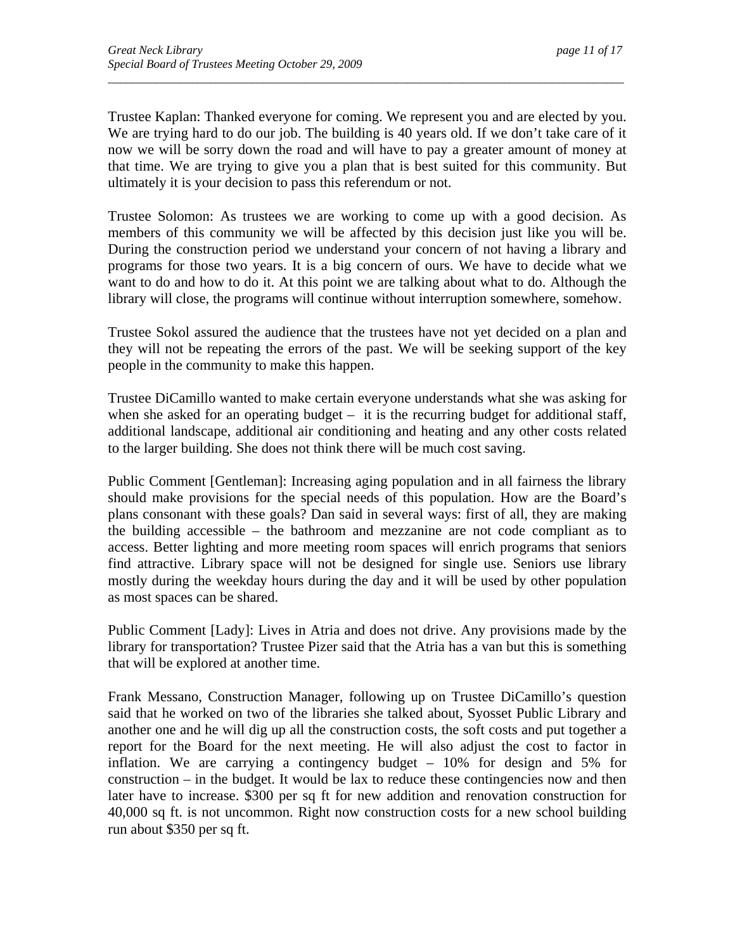Trustee Kaplan: Thanked everyone for coming. We represent you and are elected by you. We are trying hard to do our job. The building is 40 years old. If we don't take care of it now we will be sorry down the road and will have to pay a greater amount of money at that time. We are trying to give you a plan that is best suited for this community. But ultimately it is your decision to pass this referendum or not.

*\_\_\_\_\_\_\_\_\_\_\_\_\_\_\_\_\_\_\_\_\_\_\_\_\_\_\_\_\_\_\_\_\_\_\_\_\_\_\_\_\_\_\_\_\_\_\_\_\_\_\_\_\_\_\_\_\_\_\_\_\_\_\_\_\_\_\_\_\_\_\_\_\_\_\_\_\_\_\_\_\_\_\_\_\_\_* 

Trustee Solomon: As trustees we are working to come up with a good decision. As members of this community we will be affected by this decision just like you will be. During the construction period we understand your concern of not having a library and programs for those two years. It is a big concern of ours. We have to decide what we want to do and how to do it. At this point we are talking about what to do. Although the library will close, the programs will continue without interruption somewhere, somehow.

Trustee Sokol assured the audience that the trustees have not yet decided on a plan and they will not be repeating the errors of the past. We will be seeking support of the key people in the community to make this happen.

Trustee DiCamillo wanted to make certain everyone understands what she was asking for when she asked for an operating budget  $-$  it is the recurring budget for additional staff, additional landscape, additional air conditioning and heating and any other costs related to the larger building. She does not think there will be much cost saving.

Public Comment [Gentleman]: Increasing aging population and in all fairness the library should make provisions for the special needs of this population. How are the Board's plans consonant with these goals? Dan said in several ways: first of all, they are making the building accessible – the bathroom and mezzanine are not code compliant as to access. Better lighting and more meeting room spaces will enrich programs that seniors find attractive. Library space will not be designed for single use. Seniors use library mostly during the weekday hours during the day and it will be used by other population as most spaces can be shared.

Public Comment [Lady]: Lives in Atria and does not drive. Any provisions made by the library for transportation? Trustee Pizer said that the Atria has a van but this is something that will be explored at another time.

Frank Messano, Construction Manager, following up on Trustee DiCamillo's question said that he worked on two of the libraries she talked about, Syosset Public Library and another one and he will dig up all the construction costs, the soft costs and put together a report for the Board for the next meeting. He will also adjust the cost to factor in inflation. We are carrying a contingency budget – 10% for design and 5% for  $construction - in the budget. It would be a a reduced phase, containing a new and then a standard deviation.$ later have to increase. \$300 per sq ft for new addition and renovation construction for 40,000 sq ft. is not uncommon. Right now construction costs for a new school building run about \$350 per sq ft.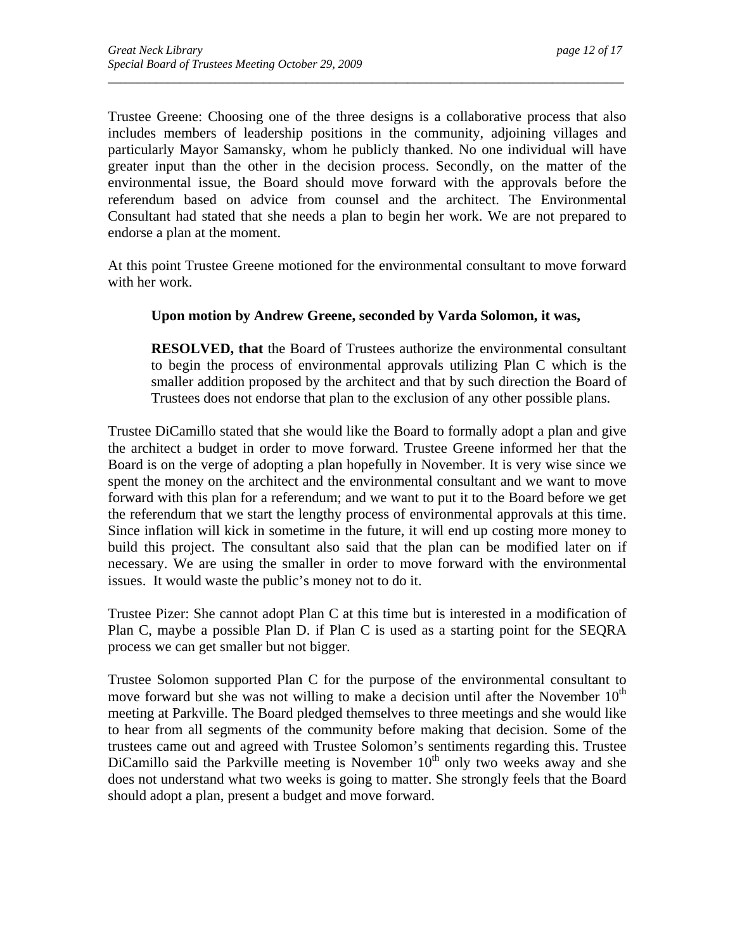Trustee Greene: Choosing one of the three designs is a collaborative process that also includes members of leadership positions in the community, adjoining villages and particularly Mayor Samansky, whom he publicly thanked. No one individual will have greater input than the other in the decision process. Secondly, on the matter of the environmental issue, the Board should move forward with the approvals before the referendum based on advice from counsel and the architect. The Environmental Consultant had stated that she needs a plan to begin her work. We are not prepared to endorse a plan at the moment.

*\_\_\_\_\_\_\_\_\_\_\_\_\_\_\_\_\_\_\_\_\_\_\_\_\_\_\_\_\_\_\_\_\_\_\_\_\_\_\_\_\_\_\_\_\_\_\_\_\_\_\_\_\_\_\_\_\_\_\_\_\_\_\_\_\_\_\_\_\_\_\_\_\_\_\_\_\_\_\_\_\_\_\_\_\_\_* 

At this point Trustee Greene motioned for the environmental consultant to move forward with her work.

#### **Upon motion by Andrew Greene, seconded by Varda Solomon, it was,**

**RESOLVED, that** the Board of Trustees authorize the environmental consultant to begin the process of environmental approvals utilizing Plan C which is the smaller addition proposed by the architect and that by such direction the Board of Trustees does not endorse that plan to the exclusion of any other possible plans.

Trustee DiCamillo stated that she would like the Board to formally adopt a plan and give the architect a budget in order to move forward. Trustee Greene informed her that the Board is on the verge of adopting a plan hopefully in November. It is very wise since we spent the money on the architect and the environmental consultant and we want to move forward with this plan for a referendum; and we want to put it to the Board before we get the referendum that we start the lengthy process of environmental approvals at this time. Since inflation will kick in sometime in the future, it will end up costing more money to build this project. The consultant also said that the plan can be modified later on if necessary. We are using the smaller in order to move forward with the environmental issues. It would waste the public's money not to do it.

Trustee Pizer: She cannot adopt Plan C at this time but is interested in a modification of Plan C, maybe a possible Plan D. if Plan C is used as a starting point for the SEQRA process we can get smaller but not bigger.

Trustee Solomon supported Plan C for the purpose of the environmental consultant to move forward but she was not willing to make a decision until after the November  $10<sup>th</sup>$ meeting at Parkville. The Board pledged themselves to three meetings and she would like to hear from all segments of the community before making that decision. Some of the trustees came out and agreed with Trustee Solomon's sentiments regarding this. Trustee DiCamillo said the Parkville meeting is November  $10<sup>th</sup>$  only two weeks away and she does not understand what two weeks is going to matter. She strongly feels that the Board should adopt a plan, present a budget and move forward.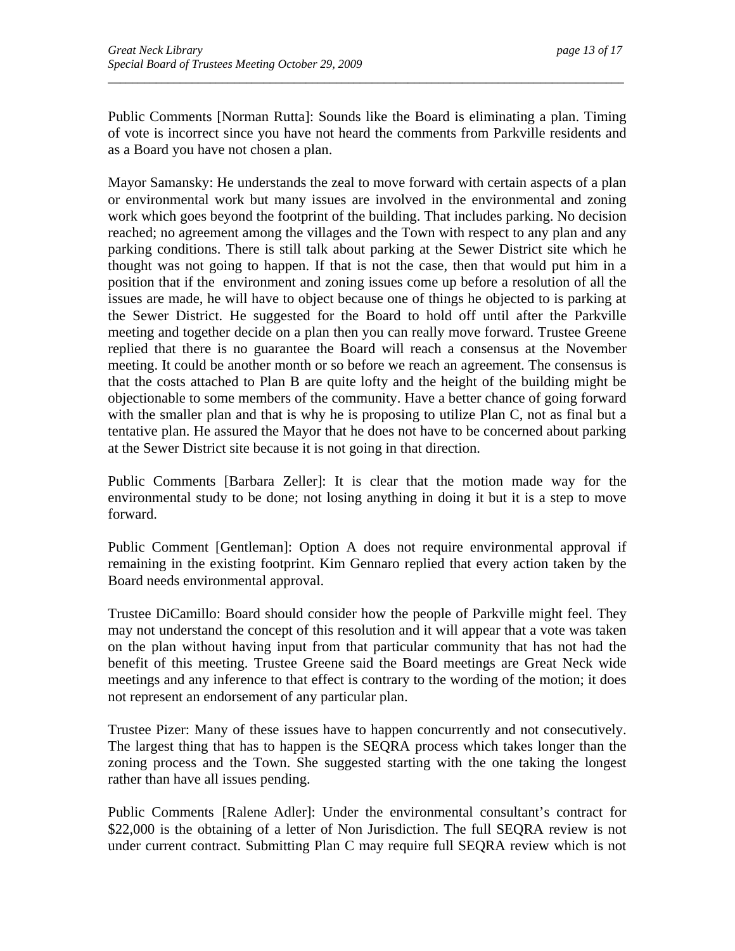Public Comments [Norman Rutta]: Sounds like the Board is eliminating a plan. Timing of vote is incorrect since you have not heard the comments from Parkville residents and as a Board you have not chosen a plan.

*\_\_\_\_\_\_\_\_\_\_\_\_\_\_\_\_\_\_\_\_\_\_\_\_\_\_\_\_\_\_\_\_\_\_\_\_\_\_\_\_\_\_\_\_\_\_\_\_\_\_\_\_\_\_\_\_\_\_\_\_\_\_\_\_\_\_\_\_\_\_\_\_\_\_\_\_\_\_\_\_\_\_\_\_\_\_* 

Mayor Samansky: He understands the zeal to move forward with certain aspects of a plan or environmental work but many issues are involved in the environmental and zoning work which goes beyond the footprint of the building. That includes parking. No decision reached; no agreement among the villages and the Town with respect to any plan and any parking conditions. There is still talk about parking at the Sewer District site which he thought was not going to happen. If that is not the case, then that would put him in a position that if the environment and zoning issues come up before a resolution of all the issues are made, he will have to object because one of things he objected to is parking at the Sewer District. He suggested for the Board to hold off until after the Parkville meeting and together decide on a plan then you can really move forward. Trustee Greene replied that there is no guarantee the Board will reach a consensus at the November meeting. It could be another month or so before we reach an agreement. The consensus is that the costs attached to Plan B are quite lofty and the height of the building might be objectionable to some members of the community. Have a better chance of going forward with the smaller plan and that is why he is proposing to utilize Plan C, not as final but a tentative plan. He assured the Mayor that he does not have to be concerned about parking at the Sewer District site because it is not going in that direction.

Public Comments [Barbara Zeller]: It is clear that the motion made way for the environmental study to be done; not losing anything in doing it but it is a step to move forward.

Public Comment [Gentleman]: Option A does not require environmental approval if remaining in the existing footprint. Kim Gennaro replied that every action taken by the Board needs environmental approval.

Trustee DiCamillo: Board should consider how the people of Parkville might feel. They may not understand the concept of this resolution and it will appear that a vote was taken on the plan without having input from that particular community that has not had the benefit of this meeting. Trustee Greene said the Board meetings are Great Neck wide meetings and any inference to that effect is contrary to the wording of the motion; it does not represent an endorsement of any particular plan.

Trustee Pizer: Many of these issues have to happen concurrently and not consecutively. The largest thing that has to happen is the SEQRA process which takes longer than the zoning process and the Town. She suggested starting with the one taking the longest rather than have all issues pending.

Public Comments [Ralene Adler]: Under the environmental consultant's contract for \$22,000 is the obtaining of a letter of Non Jurisdiction. The full SEQRA review is not under current contract. Submitting Plan C may require full SEQRA review which is not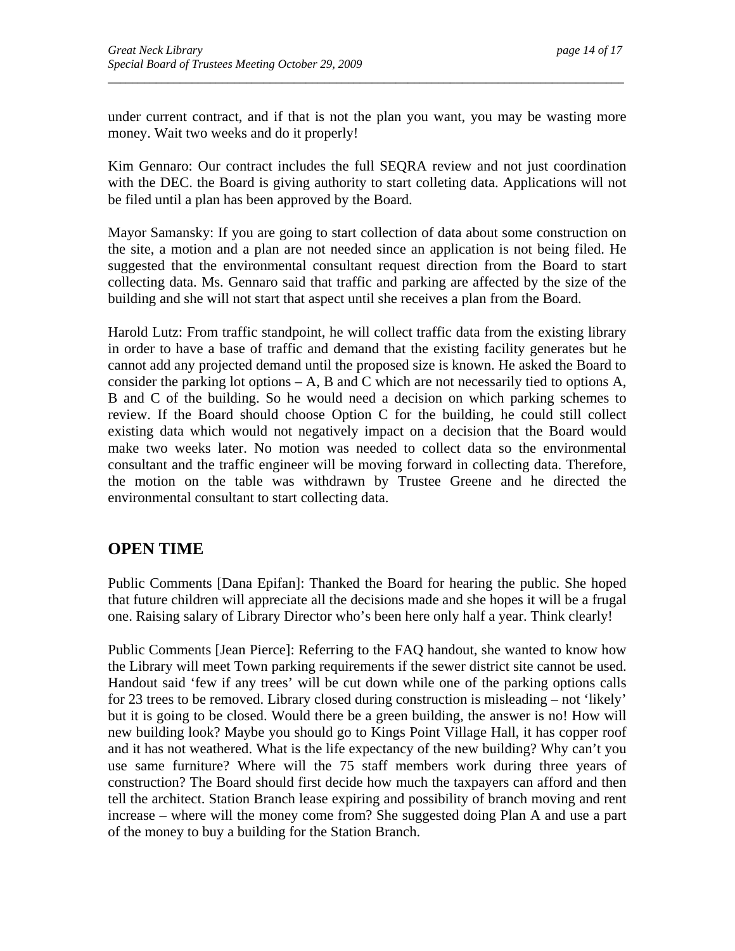under current contract, and if that is not the plan you want, you may be wasting more money. Wait two weeks and do it properly!

*\_\_\_\_\_\_\_\_\_\_\_\_\_\_\_\_\_\_\_\_\_\_\_\_\_\_\_\_\_\_\_\_\_\_\_\_\_\_\_\_\_\_\_\_\_\_\_\_\_\_\_\_\_\_\_\_\_\_\_\_\_\_\_\_\_\_\_\_\_\_\_\_\_\_\_\_\_\_\_\_\_\_\_\_\_\_* 

Kim Gennaro: Our contract includes the full SEQRA review and not just coordination with the DEC. the Board is giving authority to start colleting data. Applications will not be filed until a plan has been approved by the Board.

Mayor Samansky: If you are going to start collection of data about some construction on the site, a motion and a plan are not needed since an application is not being filed. He suggested that the environmental consultant request direction from the Board to start collecting data. Ms. Gennaro said that traffic and parking are affected by the size of the building and she will not start that aspect until she receives a plan from the Board.

Harold Lutz: From traffic standpoint, he will collect traffic data from the existing library in order to have a base of traffic and demand that the existing facility generates but he cannot add any projected demand until the proposed size is known. He asked the Board to consider the parking lot options  $-A$ , B and C which are not necessarily tied to options A, B and C of the building. So he would need a decision on which parking schemes to review. If the Board should choose Option C for the building, he could still collect existing data which would not negatively impact on a decision that the Board would make two weeks later. No motion was needed to collect data so the environmental consultant and the traffic engineer will be moving forward in collecting data. Therefore, the motion on the table was withdrawn by Trustee Greene and he directed the environmental consultant to start collecting data.

## **OPEN TIME**

Public Comments [Dana Epifan]: Thanked the Board for hearing the public. She hoped that future children will appreciate all the decisions made and she hopes it will be a frugal one. Raising salary of Library Director who's been here only half a year. Think clearly!

Public Comments [Jean Pierce]: Referring to the FAQ handout, she wanted to know how the Library will meet Town parking requirements if the sewer district site cannot be used. Handout said 'few if any trees' will be cut down while one of the parking options calls for 23 trees to be removed. Library closed during construction is misleading – not 'likely' but it is going to be closed. Would there be a green building, the answer is no! How will new building look? Maybe you should go to Kings Point Village Hall, it has copper roof and it has not weathered. What is the life expectancy of the new building? Why can't you use same furniture? Where will the 75 staff members work during three years of construction? The Board should first decide how much the taxpayers can afford and then tell the architect. Station Branch lease expiring and possibility of branch moving and rent increase – where will the money come from? She suggested doing Plan A and use a part of the money to buy a building for the Station Branch.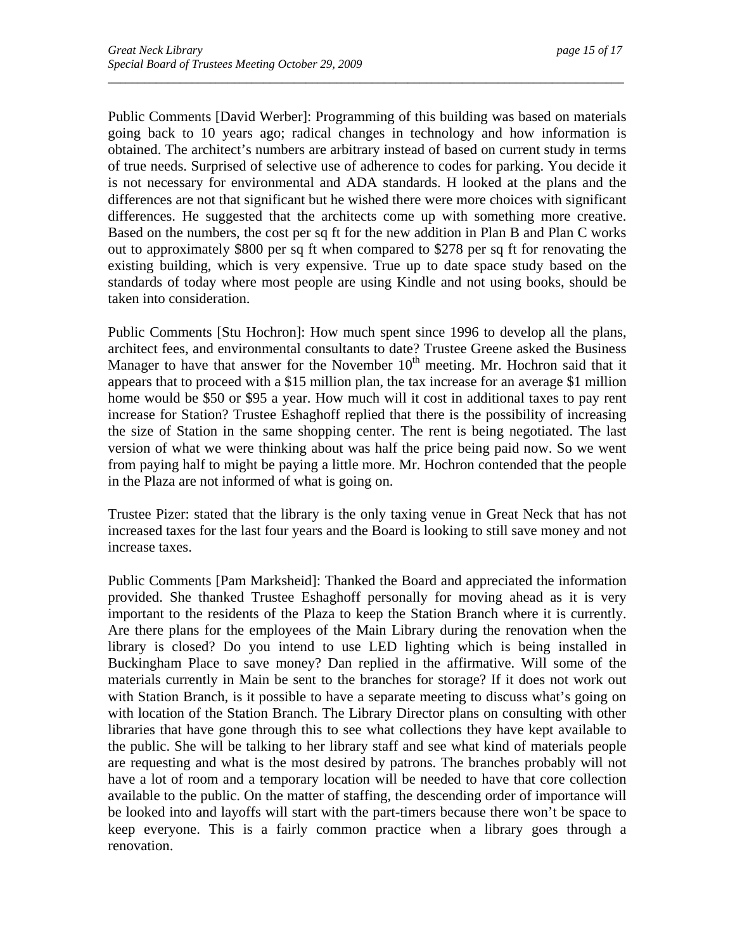Public Comments [David Werber]: Programming of this building was based on materials going back to 10 years ago; radical changes in technology and how information is obtained. The architect's numbers are arbitrary instead of based on current study in terms of true needs. Surprised of selective use of adherence to codes for parking. You decide it is not necessary for environmental and ADA standards. H looked at the plans and the differences are not that significant but he wished there were more choices with significant differences. He suggested that the architects come up with something more creative. Based on the numbers, the cost per sq ft for the new addition in Plan B and Plan C works out to approximately \$800 per sq ft when compared to \$278 per sq ft for renovating the existing building, which is very expensive. True up to date space study based on the standards of today where most people are using Kindle and not using books, should be taken into consideration.

*\_\_\_\_\_\_\_\_\_\_\_\_\_\_\_\_\_\_\_\_\_\_\_\_\_\_\_\_\_\_\_\_\_\_\_\_\_\_\_\_\_\_\_\_\_\_\_\_\_\_\_\_\_\_\_\_\_\_\_\_\_\_\_\_\_\_\_\_\_\_\_\_\_\_\_\_\_\_\_\_\_\_\_\_\_\_* 

Public Comments [Stu Hochron]: How much spent since 1996 to develop all the plans, architect fees, and environmental consultants to date? Trustee Greene asked the Business Manager to have that answer for the November  $10<sup>th</sup>$  meeting. Mr. Hochron said that it appears that to proceed with a \$15 million plan, the tax increase for an average \$1 million home would be \$50 or \$95 a year. How much will it cost in additional taxes to pay rent increase for Station? Trustee Eshaghoff replied that there is the possibility of increasing the size of Station in the same shopping center. The rent is being negotiated. The last version of what we were thinking about was half the price being paid now. So we went from paying half to might be paying a little more. Mr. Hochron contended that the people in the Plaza are not informed of what is going on.

Trustee Pizer: stated that the library is the only taxing venue in Great Neck that has not increased taxes for the last four years and the Board is looking to still save money and not increase taxes.

Public Comments [Pam Marksheid]: Thanked the Board and appreciated the information provided. She thanked Trustee Eshaghoff personally for moving ahead as it is very important to the residents of the Plaza to keep the Station Branch where it is currently. Are there plans for the employees of the Main Library during the renovation when the library is closed? Do you intend to use LED lighting which is being installed in Buckingham Place to save money? Dan replied in the affirmative. Will some of the materials currently in Main be sent to the branches for storage? If it does not work out with Station Branch, is it possible to have a separate meeting to discuss what's going on with location of the Station Branch. The Library Director plans on consulting with other libraries that have gone through this to see what collections they have kept available to the public. She will be talking to her library staff and see what kind of materials people are requesting and what is the most desired by patrons. The branches probably will not have a lot of room and a temporary location will be needed to have that core collection available to the public. On the matter of staffing, the descending order of importance will be looked into and layoffs will start with the part-timers because there won't be space to keep everyone. This is a fairly common practice when a library goes through a renovation.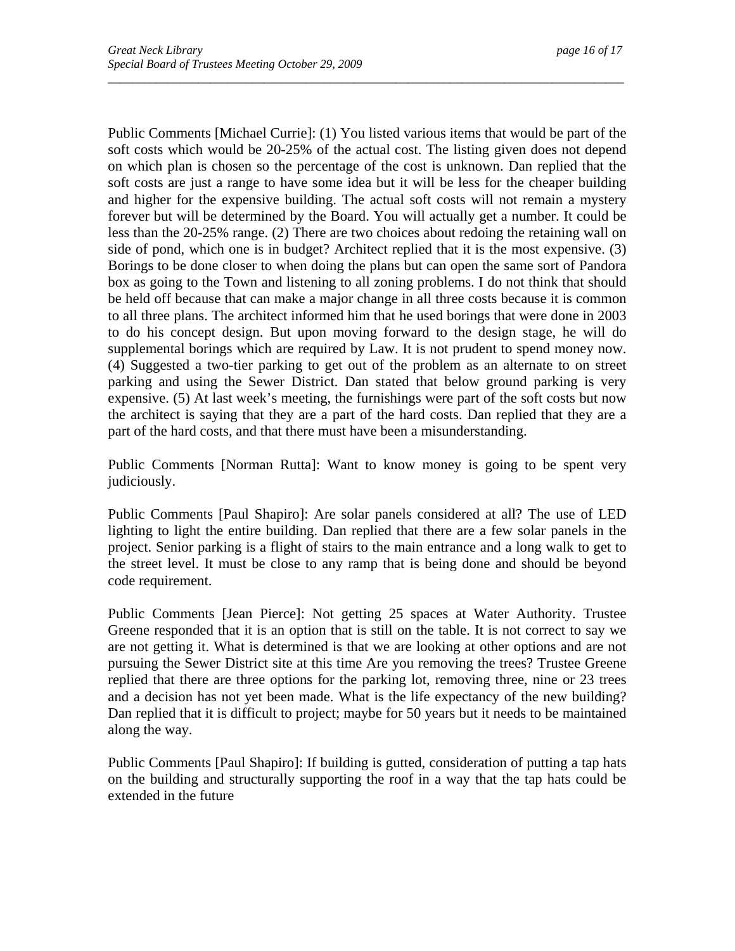Public Comments [Michael Currie]: (1) You listed various items that would be part of the soft costs which would be 20-25% of the actual cost. The listing given does not depend on which plan is chosen so the percentage of the cost is unknown. Dan replied that the soft costs are just a range to have some idea but it will be less for the cheaper building and higher for the expensive building. The actual soft costs will not remain a mystery forever but will be determined by the Board. You will actually get a number. It could be less than the 20-25% range. (2) There are two choices about redoing the retaining wall on side of pond, which one is in budget? Architect replied that it is the most expensive. (3) Borings to be done closer to when doing the plans but can open the same sort of Pandora box as going to the Town and listening to all zoning problems. I do not think that should be held off because that can make a major change in all three costs because it is common to all three plans. The architect informed him that he used borings that were done in 2003 to do his concept design. But upon moving forward to the design stage, he will do supplemental borings which are required by Law. It is not prudent to spend money now. (4) Suggested a two-tier parking to get out of the problem as an alternate to on street parking and using the Sewer District. Dan stated that below ground parking is very expensive. (5) At last week's meeting, the furnishings were part of the soft costs but now the architect is saying that they are a part of the hard costs. Dan replied that they are a part of the hard costs, and that there must have been a misunderstanding.

*\_\_\_\_\_\_\_\_\_\_\_\_\_\_\_\_\_\_\_\_\_\_\_\_\_\_\_\_\_\_\_\_\_\_\_\_\_\_\_\_\_\_\_\_\_\_\_\_\_\_\_\_\_\_\_\_\_\_\_\_\_\_\_\_\_\_\_\_\_\_\_\_\_\_\_\_\_\_\_\_\_\_\_\_\_\_* 

Public Comments [Norman Rutta]: Want to know money is going to be spent very judiciously.

Public Comments [Paul Shapiro]: Are solar panels considered at all? The use of LED lighting to light the entire building. Dan replied that there are a few solar panels in the project. Senior parking is a flight of stairs to the main entrance and a long walk to get to the street level. It must be close to any ramp that is being done and should be beyond code requirement.

Public Comments [Jean Pierce]: Not getting 25 spaces at Water Authority. Trustee Greene responded that it is an option that is still on the table. It is not correct to say we are not getting it. What is determined is that we are looking at other options and are not pursuing the Sewer District site at this time Are you removing the trees? Trustee Greene replied that there are three options for the parking lot, removing three, nine or 23 trees and a decision has not yet been made. What is the life expectancy of the new building? Dan replied that it is difficult to project; maybe for 50 years but it needs to be maintained along the way.

Public Comments [Paul Shapiro]: If building is gutted, consideration of putting a tap hats on the building and structurally supporting the roof in a way that the tap hats could be extended in the future